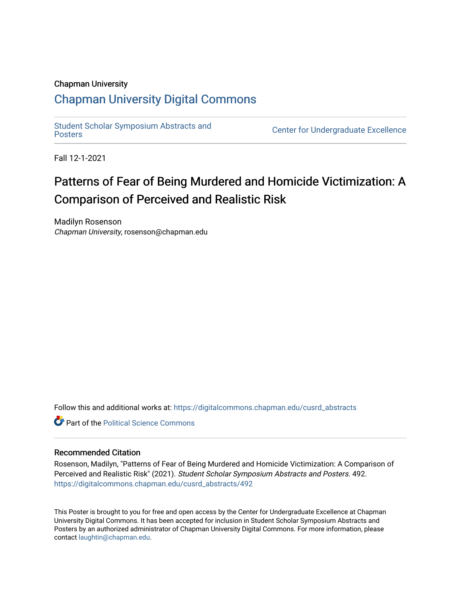### Chapman University

## [Chapman University Digital Commons](https://digitalcommons.chapman.edu/)

[Student Scholar Symposium Abstracts and](https://digitalcommons.chapman.edu/cusrd_abstracts) 

**Center for Undergraduate Excellence** 

Fall 12-1-2021

## Patterns of Fear of Being Murdered and Homicide Victimization: A Comparison of Perceived and Realistic Risk

Madilyn Rosenson Chapman University, rosenson@chapman.edu

Follow this and additional works at: [https://digitalcommons.chapman.edu/cusrd\\_abstracts](https://digitalcommons.chapman.edu/cusrd_abstracts?utm_source=digitalcommons.chapman.edu%2Fcusrd_abstracts%2F492&utm_medium=PDF&utm_campaign=PDFCoverPages) 

**C** Part of the Political Science Commons

### Recommended Citation

Rosenson, Madilyn, "Patterns of Fear of Being Murdered and Homicide Victimization: A Comparison of Perceived and Realistic Risk" (2021). Student Scholar Symposium Abstracts and Posters. 492. [https://digitalcommons.chapman.edu/cusrd\\_abstracts/492](https://digitalcommons.chapman.edu/cusrd_abstracts/492?utm_source=digitalcommons.chapman.edu%2Fcusrd_abstracts%2F492&utm_medium=PDF&utm_campaign=PDFCoverPages) 

This Poster is brought to you for free and open access by the Center for Undergraduate Excellence at Chapman University Digital Commons. It has been accepted for inclusion in Student Scholar Symposium Abstracts and Posters by an authorized administrator of Chapman University Digital Commons. For more information, please contact [laughtin@chapman.edu](mailto:laughtin@chapman.edu).